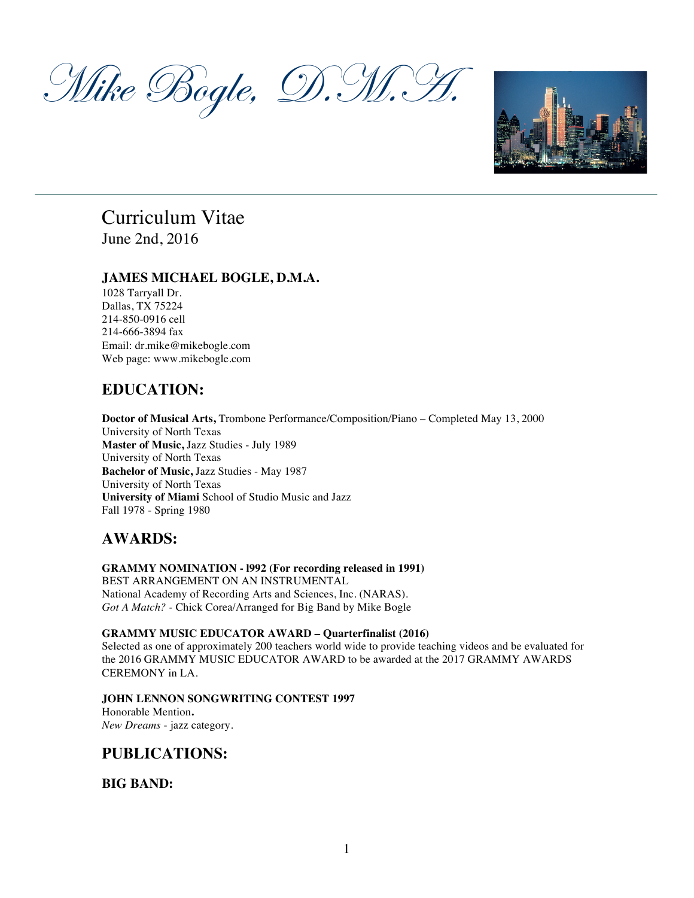Mike Bogle, D.M. H



# Curriculum Vitae June 2nd, 2016

## **JAMES MICHAEL BOGLE, D.M.A.**

1028 Tarryall Dr. Dallas, TX 75224 214-850-0916 cell 214-666-3894 fax Email: dr.mike@mikebogle.com Web page: www.mikebogle.com

# **EDUCATION:**

**Doctor of Musical Arts,** Trombone Performance/Composition/Piano – Completed May 13, 2000 University of North Texas **Master of Music,** Jazz Studies - July 1989 University of North Texas **Bachelor of Music,** Jazz Studies - May 1987 University of North Texas **University of Miami** School of Studio Music and Jazz Fall 1978 - Spring 1980

# **AWARDS:**

## **GRAMMY NOMINATION - l992 (For recording released in 1991)**

BEST ARRANGEMENT ON AN INSTRUMENTAL National Academy of Recording Arts and Sciences, Inc. (NARAS). *Got A Match? -* Chick Corea/Arranged for Big Band by Mike Bogle

## **GRAMMY MUSIC EDUCATOR AWARD – Quarterfinalist (2016)**

Selected as one of approximately 200 teachers world wide to provide teaching videos and be evaluated for the 2016 GRAMMY MUSIC EDUCATOR AWARD to be awarded at the 2017 GRAMMY AWARDS CEREMONY in LA.

## **JOHN LENNON SONGWRITING CONTEST 1997**

Honorable Mention**.** *New Dreams* - jazz category.

# **PUBLICATIONS:**

**BIG BAND:**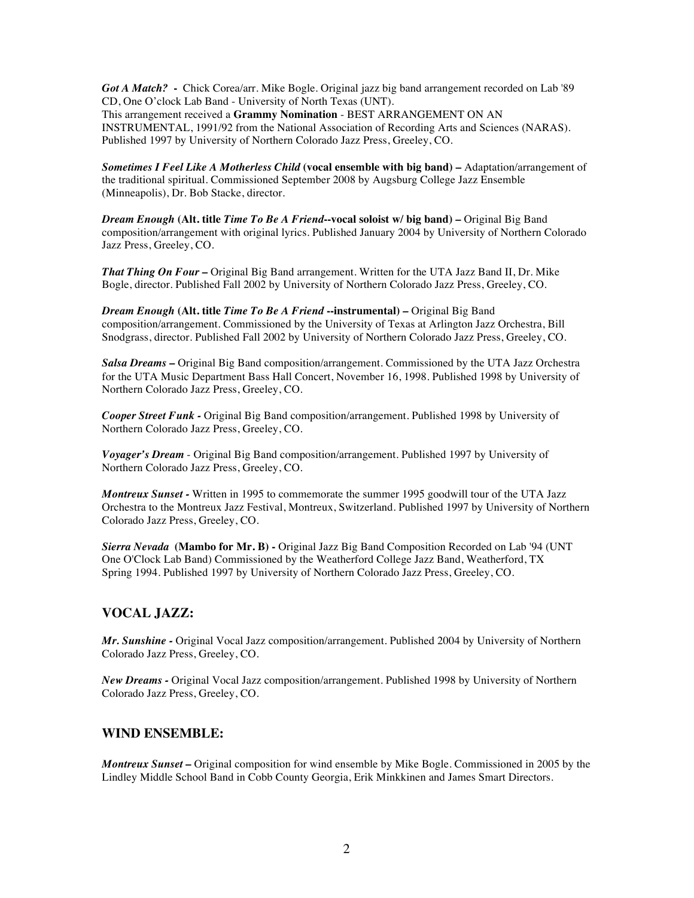*Got A Match?* **-** Chick Corea/arr. Mike Bogle. Original jazz big band arrangement recorded on Lab '89 CD, One O'clock Lab Band - University of North Texas (UNT). This arrangement received a **Grammy Nomination** - BEST ARRANGEMENT ON AN INSTRUMENTAL, 1991/92 from the National Association of Recording Arts and Sciences (NARAS). Published 1997 by University of Northern Colorado Jazz Press, Greeley, CO.

*Sometimes I Feel Like A Motherless Child* **(vocal ensemble with big band) –** Adaptation/arrangement of the traditional spiritual. Commissioned September 2008 by Augsburg College Jazz Ensemble (Minneapolis), Dr. Bob Stacke, director.

*Dream Enough* **(Alt. title** *Time To Be A Friend***--vocal soloist w/ big band)** *–* Original Big Band composition/arrangement with original lyrics. Published January 2004 by University of Northern Colorado Jazz Press, Greeley, CO.

*That Thing On Four –* Original Big Band arrangement. Written for the UTA Jazz Band II, Dr. Mike Bogle, director. Published Fall 2002 by University of Northern Colorado Jazz Press, Greeley, CO.

*Dream Enough* **(Alt. title** *Time To Be A Friend* **--instrumental)** *–* Original Big Band composition/arrangement. Commissioned by the University of Texas at Arlington Jazz Orchestra, Bill Snodgrass, director. Published Fall 2002 by University of Northern Colorado Jazz Press, Greeley, CO.

*Salsa Dreams –* Original Big Band composition/arrangement. Commissioned by the UTA Jazz Orchestra for the UTA Music Department Bass Hall Concert, November 16, 1998. Published 1998 by University of Northern Colorado Jazz Press, Greeley, CO.

*Cooper Street Funk -* Original Big Band composition/arrangement. Published 1998 by University of Northern Colorado Jazz Press, Greeley, CO.

*Voyager's Dream* - Original Big Band composition/arrangement. Published 1997 by University of Northern Colorado Jazz Press, Greeley, CO.

*Montreux Sunset -* Written in 1995 to commemorate the summer 1995 goodwill tour of the UTA Jazz Orchestra to the Montreux Jazz Festival, Montreux, Switzerland. Published 1997 by University of Northern Colorado Jazz Press, Greeley, CO.

*Sierra Nevada* **(Mambo for Mr. B) -** Original Jazz Big Band Composition Recorded on Lab '94 (UNT One O'Clock Lab Band) Commissioned by the Weatherford College Jazz Band, Weatherford, TX Spring 1994. Published 1997 by University of Northern Colorado Jazz Press, Greeley, CO.

## **VOCAL JAZZ:**

*Mr. Sunshine -* Original Vocal Jazz composition/arrangement*.* Published 2004 by University of Northern Colorado Jazz Press, Greeley, CO.

*New Dreams -* Original Vocal Jazz composition/arrangement*.* Published 1998 by University of Northern Colorado Jazz Press, Greeley, CO.

## **WIND ENSEMBLE:**

*Montreux Sunset* **–** Original composition for wind ensemble by Mike Bogle. Commissioned in 2005 by the Lindley Middle School Band in Cobb County Georgia, Erik Minkkinen and James Smart Directors.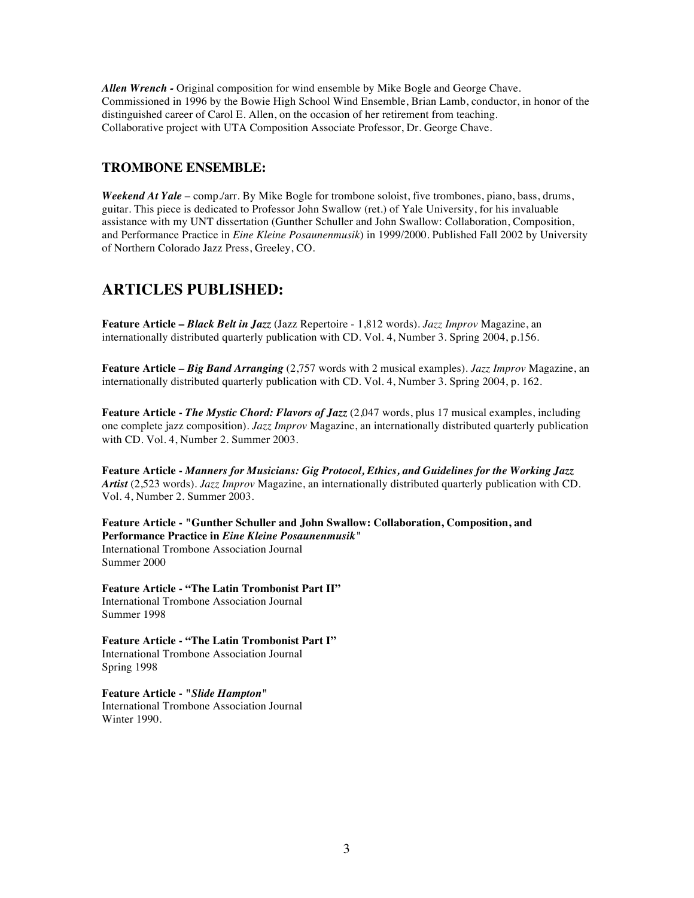*Allen Wrench -* Original composition for wind ensemble by Mike Bogle and George Chave. Commissioned in 1996 by the Bowie High School Wind Ensemble, Brian Lamb, conductor, in honor of the distinguished career of Carol E. Allen, on the occasion of her retirement from teaching. Collaborative project with UTA Composition Associate Professor, Dr. George Chave.

## **TROMBONE ENSEMBLE:**

*Weekend At Yale* – comp./arr. By Mike Bogle for trombone soloist, five trombones, piano, bass, drums, guitar. This piece is dedicated to Professor John Swallow (ret.) of Yale University, for his invaluable assistance with my UNT dissertation (Gunther Schuller and John Swallow: Collaboration, Composition, and Performance Practice in *Eine Kleine Posaunenmusik*) in 1999/2000. Published Fall 2002 by University of Northern Colorado Jazz Press, Greeley, CO.

## **ARTICLES PUBLISHED:**

**Feature Article –** *Black Belt in Jazz* (Jazz Repertoire - 1,812 words). *Jazz Improv* Magazine, an internationally distributed quarterly publication with CD. Vol. 4, Number 3. Spring 2004, p.156.

**Feature Article –** *Big Band Arranging* (2,757 words with 2 musical examples). *Jazz Improv* Magazine, an internationally distributed quarterly publication with CD. Vol. 4, Number 3. Spring 2004, p. 162.

**Feature Article -** *The Mystic Chord: Flavors of Jazz* (2,047 words, plus 17 musical examples, including one complete jazz composition). *Jazz Improv* Magazine, an internationally distributed quarterly publication with CD. Vol. 4, Number 2. Summer 2003.

**Feature Article -** *Manners for Musicians: Gig Protocol, Ethics, and Guidelines for the Working Jazz Artist* (2,523 words)*. Jazz Improv* Magazine, an internationally distributed quarterly publication with CD. Vol. 4, Number 2. Summer 2003.

**Feature Article - "Gunther Schuller and John Swallow: Collaboration, Composition, and Performance Practice in** *Eine Kleine Posaunenmusik"* International Trombone Association Journal Summer 2000

**Feature Article - "The Latin Trombonist Part II"** International Trombone Association Journal Summer 1998

**Feature Article - "The Latin Trombonist Part I"** International Trombone Association Journal Spring 1998

**Feature Article - "***Slide Hampton***"** International Trombone Association Journal Winter 1990.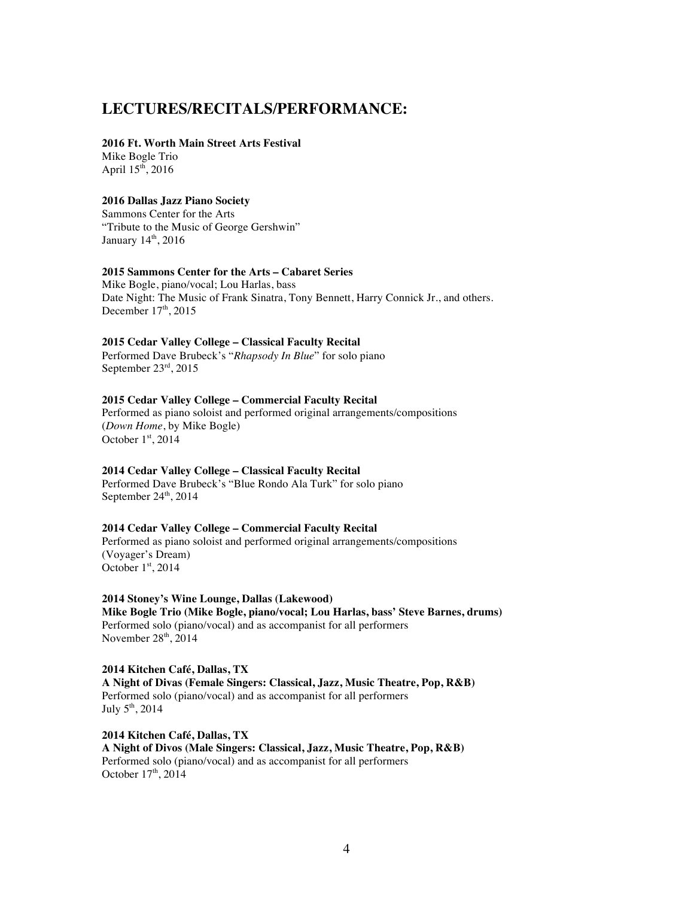## **LECTURES/RECITALS/PERFORMANCE:**

#### **2016 Ft. Worth Main Street Arts Festival**

Mike Bogle Trio April  $15^{th}$ , 2016

## **2016 Dallas Jazz Piano Society**

Sammons Center for the Arts "Tribute to the Music of George Gershwin" January 14<sup>th</sup>, 2016

### **2015 Sammons Center for the Arts – Cabaret Series**

Mike Bogle, piano/vocal; Lou Harlas, bass Date Night: The Music of Frank Sinatra, Tony Bennett, Harry Connick Jr., and others. December  $17<sup>th</sup>$ , 2015

### **2015 Cedar Valley College – Classical Faculty Recital**

Performed Dave Brubeck's "*Rhapsody In Blue*" for solo piano September 23rd, 2015

## **2015 Cedar Valley College – Commercial Faculty Recital**

Performed as piano soloist and performed original arrangements/compositions (*Down Home*, by Mike Bogle) October  $1<sup>st</sup>$ , 2014

## **2014 Cedar Valley College – Classical Faculty Recital**

Performed Dave Brubeck's "Blue Rondo Ala Turk" for solo piano September  $24<sup>th</sup>$ ,  $2014$ 

## **2014 Cedar Valley College – Commercial Faculty Recital**

Performed as piano soloist and performed original arrangements/compositions (Voyager's Dream) October 1st, 2014

## **2014 Stoney's Wine Lounge, Dallas (Lakewood)**

**Mike Bogle Trio (Mike Bogle, piano/vocal; Lou Harlas, bass' Steve Barnes, drums)** Performed solo (piano/vocal) and as accompanist for all performers November  $28<sup>th</sup>$ , 2014

## **2014 Kitchen Café, Dallas, TX A Night of Divas (Female Singers: Classical, Jazz, Music Theatre, Pop, R&B)** Performed solo (piano/vocal) and as accompanist for all performers July  $5<sup>th</sup>$ , 2014

**2014 Kitchen Café, Dallas, TX A Night of Divos (Male Singers: Classical, Jazz, Music Theatre, Pop, R&B)** Performed solo (piano/vocal) and as accompanist for all performers October  $17<sup>th</sup>$ , 2014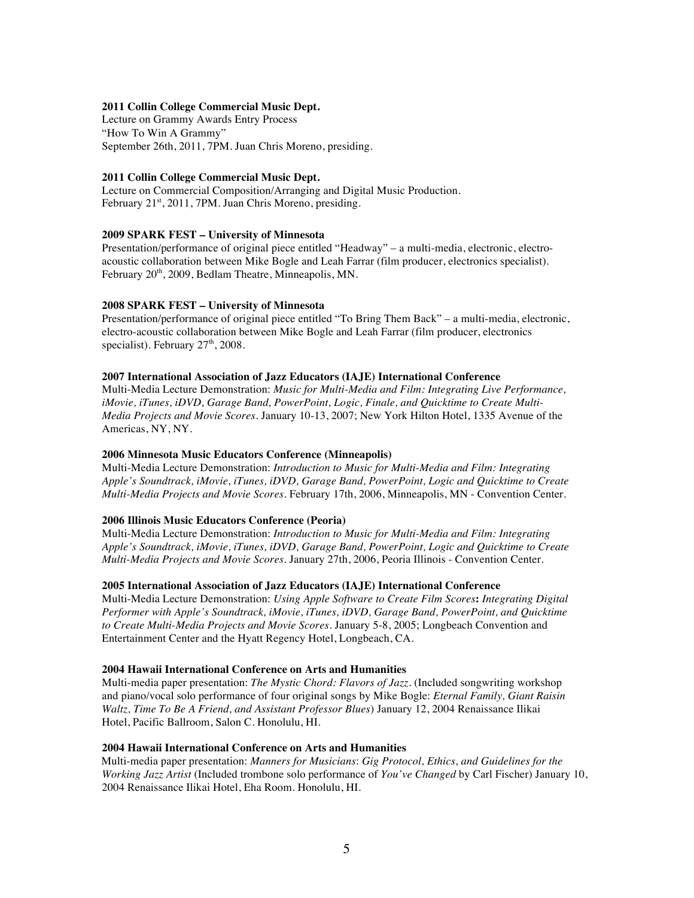#### **2011 Collin College Commercial Music Dept.**

Lecture on Grammy Awards Entry Process "How To Win A Grammy" September 26th, 2011, 7PM. Juan Chris Moreno, presiding.

#### **2011 Collin College Commercial Music Dept.**

Lecture on Commercial Composition/Arranging and Digital Music Production. February 21<sup>st</sup>, 2011, 7PM. Juan Chris Moreno, presiding.

#### **2009 SPARK FEST – University of Minnesota**

Presentation/performance of original piece entitled "Headway" – a multi-media, electronic, electroacoustic collaboration between Mike Bogle and Leah Farrar (film producer, electronics specialist). February 20<sup>th</sup>, 2009, Bedlam Theatre, Minneapolis, MN.

#### **2008 SPARK FEST – University of Minnesota**

Presentation/performance of original piece entitled "To Bring Them Back" – a multi-media, electronic, electro-acoustic collaboration between Mike Bogle and Leah Farrar (film producer, electronics specialist). February  $27<sup>th</sup>$ , 2008.

#### **2007 International Association of Jazz Educators (IAJE) International Conference**

Multi-Media Lecture Demonstration: *Music for Multi-Media and Film: Integrating Live Performance, iMovie, iTunes, iDVD, Garage Band, PowerPoint, Logic, Finale, and Quicktime to Create Multi-Media Projects and Movie Scores.* January 10-13, 2007; New York Hilton Hotel, 1335 Avenue of the Americas, NY, NY.

#### **2006 Minnesota Music Educators Conference (Minneapolis)**

Multi-Media Lecture Demonstration: *Introduction to Music for Multi-Media and Film: Integrating Apple's Soundtrack, iMovie, iTunes, iDVD, Garage Band, PowerPoint, Logic and Quicktime to Create Multi-Media Projects and Movie Scores.* February 17th, 2006, Minneapolis, MN - Convention Center.

#### **2006 Illinois Music Educators Conference (Peoria)**

Multi-Media Lecture Demonstration: *Introduction to Music for Multi-Media and Film: Integrating Apple's Soundtrack, iMovie, iTunes, iDVD, Garage Band, PowerPoint, Logic and Quicktime to Create Multi-Media Projects and Movie Scores.* January 27th, 2006, Peoria Illinois - Convention Center.

#### **2005 International Association of Jazz Educators (IAJE) International Conference**

Multi-Media Lecture Demonstration: *Using Apple Software to Create Film Scores***:** *Integrating Digital Performer with Apple's Soundtrack, iMovie, iTunes, iDVD, Garage Band, PowerPoint, and Quicktime to Create Multi-Media Projects and Movie Scores.* January 5-8, 2005; Longbeach Convention and Entertainment Center and the Hyatt Regency Hotel, Longbeach, CA.

#### **2004 Hawaii International Conference on Arts and Humanities**

Multi-media paper presentation: *The Mystic Chord: Flavors of Jazz*. (Included songwriting workshop and piano/vocal solo performance of four original songs by Mike Bogle: *Eternal Family, Giant Raisin Waltz, Time To Be A Friend, and Assistant Professor Blues*) January 12, 2004 Renaissance Ilikai Hotel, Pacific Ballroom, Salon C. Honolulu, HI.

#### **2004 Hawaii International Conference on Arts and Humanities**

 Multi-media paper presentation: *Manners for Musicians*: *Gig Protocol, Ethics, and Guidelines for the Working Jazz Artist* (Included trombone solo performance of *You've Changed* by Carl Fischer) January 10, 2004 Renaissance Ilikai Hotel, Eha Room. Honolulu, HI.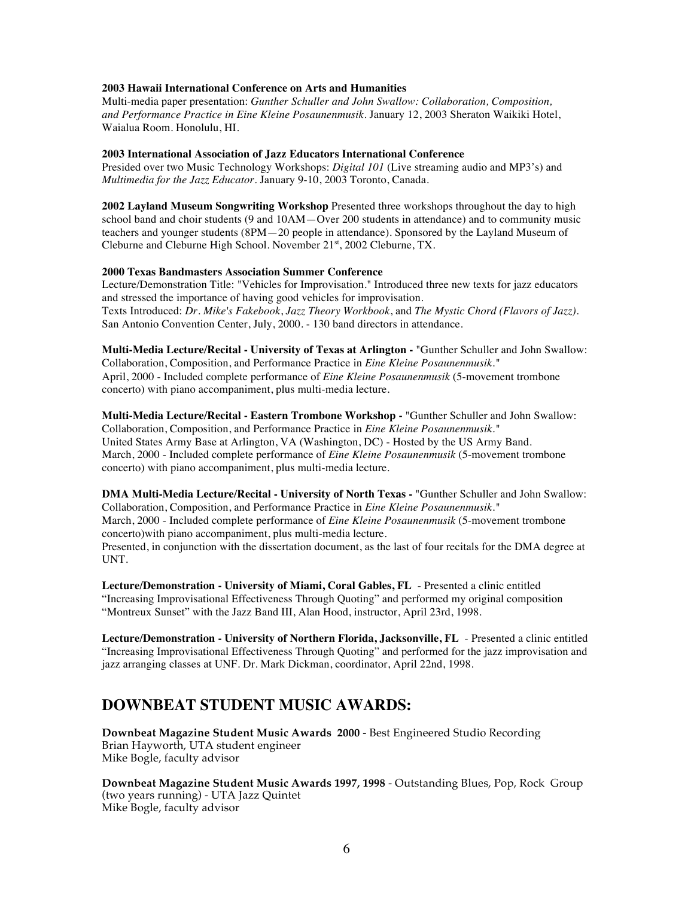## **2003 Hawaii International Conference on Arts and Humanities**

Multi-media paper presentation: *Gunther Schuller and John Swallow: Collaboration, Composition, and Performance Practice in Eine Kleine Posaunenmusik*. January 12, 2003 Sheraton Waikiki Hotel, Waialua Room. Honolulu, HI.

#### **2003 International Association of Jazz Educators International Conference**

Presided over two Music Technology Workshops: *Digital 101* (Live streaming audio and MP3's) and *Multimedia for the Jazz Educator.* January 9-10, 2003 Toronto, Canada.

**2002 Layland Museum Songwriting Workshop** Presented three workshops throughout the day to high school band and choir students (9 and 10AM—Over 200 students in attendance) and to community music teachers and younger students (8PM—20 people in attendance). Sponsored by the Layland Museum of Cleburne and Cleburne High School. November 21<sup>st</sup>, 2002 Cleburne, TX.

#### **2000 Texas Bandmasters Association Summer Conference**

Lecture/Demonstration Title: "Vehicles for Improvisation." Introduced three new texts for jazz educators and stressed the importance of having good vehicles for improvisation. Texts Introduced: *Dr. Mike's Fakebook*, *Jazz Theory Workbook*, and *The Mystic Chord (Flavors of Jazz).* San Antonio Convention Center, July, 2000. - 130 band directors in attendance.

**Multi-Media Lecture/Recital - University of Texas at Arlington -** "Gunther Schuller and John Swallow: Collaboration, Composition, and Performance Practice in *Eine Kleine Posaunenmusik."* April, 2000 - Included complete performance of *Eine Kleine Posaunenmusik* (5-movement trombone concerto) with piano accompaniment, plus multi-media lecture.

**Multi-Media Lecture/Recital - Eastern Trombone Workshop -** "Gunther Schuller and John Swallow: Collaboration, Composition, and Performance Practice in *Eine Kleine Posaunenmusik."* United States Army Base at Arlington, VA (Washington, DC) - Hosted by the US Army Band. March, 2000 - Included complete performance of *Eine Kleine Posaunenmusik* (5-movement trombone concerto) with piano accompaniment, plus multi-media lecture.

**DMA Multi-Media Lecture/Recital - University of North Texas -** "Gunther Schuller and John Swallow: Collaboration, Composition, and Performance Practice in *Eine Kleine Posaunenmusik."* March, 2000 - Included complete performance of *Eine Kleine Posaunenmusik* (5-movement trombone concerto)with piano accompaniment, plus multi-media lecture. Presented, in conjunction with the dissertation document, as the last of four recitals for the DMA degree at UNT.

**Lecture/Demonstration - University of Miami, Coral Gables, FL** - Presented a clinic entitled "Increasing Improvisational Effectiveness Through Quoting" and performed my original composition "Montreux Sunset" with the Jazz Band III, Alan Hood, instructor, April 23rd, 1998.

**Lecture/Demonstration - University of Northern Florida, Jacksonville, FL** - Presented a clinic entitled "Increasing Improvisational Effectiveness Through Quoting" and performed for the jazz improvisation and jazz arranging classes at UNF. Dr. Mark Dickman, coordinator, April 22nd, 1998.

## **DOWNBEAT STUDENT MUSIC AWARDS:**

**Downbeat Magazine Student Music Awards 2000** - Best Engineered Studio Recording Brian Hayworth, UTA student engineer Mike Bogle, faculty advisor

**Downbeat Magazine Student Music Awards 1997, 1998** - Outstanding Blues, Pop, Rock Group (two years running) - UTA Jazz Quintet Mike Bogle, faculty advisor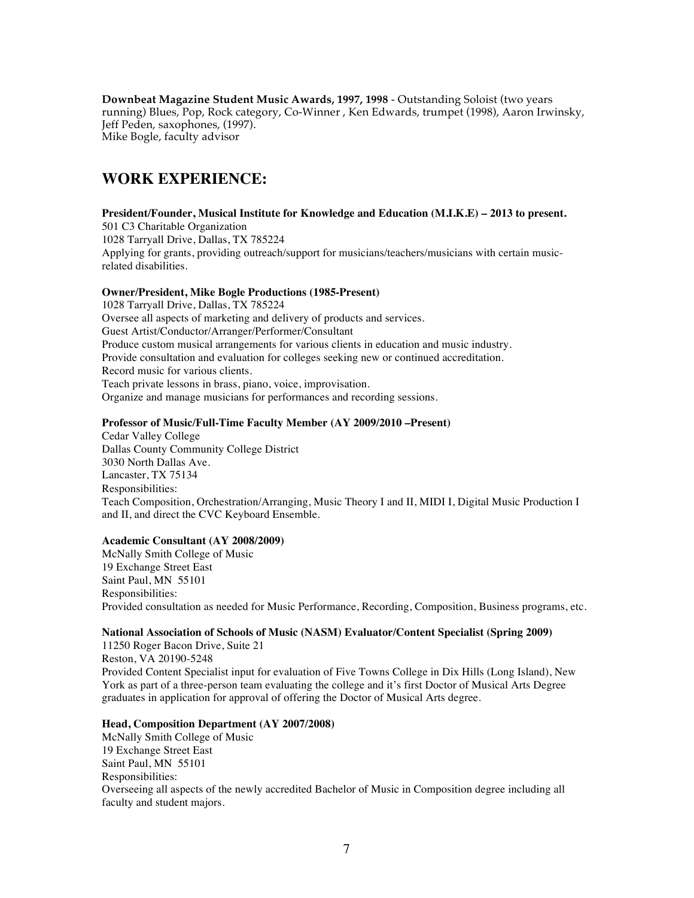**Downbeat Magazine Student Music Awards, 1997, 1998** - Outstanding Soloist (two years running) Blues, Pop, Rock category, Co-Winner , Ken Edwards, trumpet (1998), Aaron Irwinsky, Jeff Peden, saxophones, (1997). Mike Bogle, faculty advisor

# **WORK EXPERIENCE:**

#### **President/Founder, Musical Institute for Knowledge and Education (M.I.K.E) – 2013 to present.** 501 C3 Charitable Organization 1028 Tarryall Drive, Dallas, TX 785224 Applying for grants, providing outreach/support for musicians/teachers/musicians with certain musicrelated disabilities.

### **Owner/President, Mike Bogle Productions (1985-Present)**

1028 Tarryall Drive, Dallas, TX 785224 Oversee all aspects of marketing and delivery of products and services. Guest Artist/Conductor/Arranger/Performer/Consultant Produce custom musical arrangements for various clients in education and music industry. Provide consultation and evaluation for colleges seeking new or continued accreditation. Record music for various clients. Teach private lessons in brass, piano, voice, improvisation. Organize and manage musicians for performances and recording sessions.

### **Professor of Music/Full-Time Faculty Member (AY 2009/2010 –Present)**

Cedar Valley College Dallas County Community College District 3030 North Dallas Ave. Lancaster, TX 75134 Responsibilities: Teach Composition, Orchestration/Arranging, Music Theory I and II, MIDI I, Digital Music Production I and II, and direct the CVC Keyboard Ensemble.

#### **Academic Consultant (AY 2008/2009)**

McNally Smith College of Music 19 Exchange Street East Saint Paul, MN 55101 Responsibilities: Provided consultation as needed for Music Performance, Recording, Composition, Business programs, etc.

## **National Association of Schools of Music (NASM) Evaluator/Content Specialist (Spring 2009)**

11250 Roger Bacon Drive, Suite 21 Reston, VA 20190-5248 Provided Content Specialist input for evaluation of Five Towns College in Dix Hills (Long Island), New York as part of a three-person team evaluating the college and it's first Doctor of Musical Arts Degree graduates in application for approval of offering the Doctor of Musical Arts degree.

## **Head, Composition Department (AY 2007/2008)**

McNally Smith College of Music 19 Exchange Street East Saint Paul, MN 55101 Responsibilities: Overseeing all aspects of the newly accredited Bachelor of Music in Composition degree including all faculty and student majors.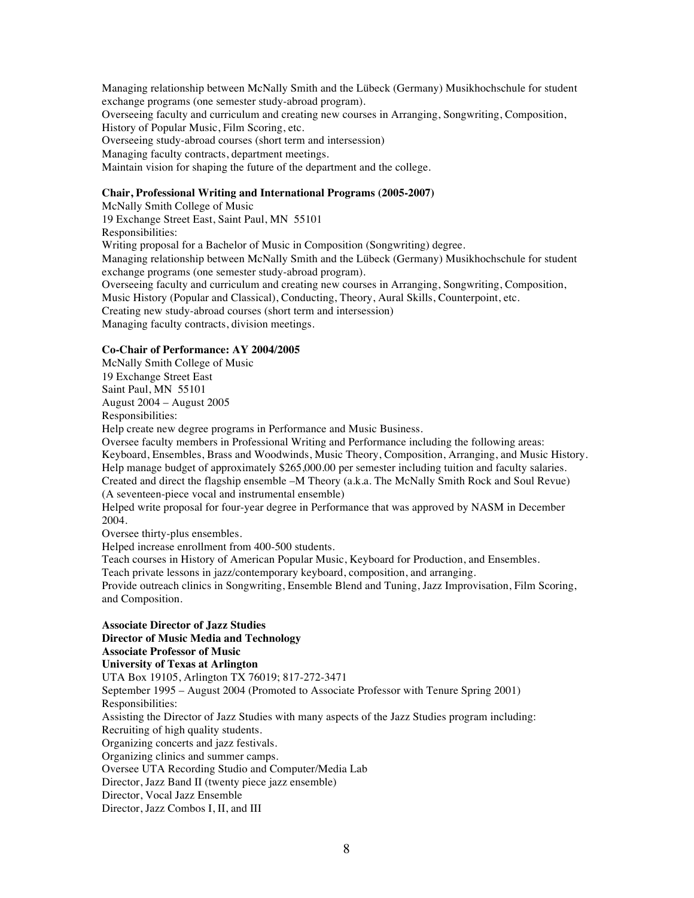Managing relationship between McNally Smith and the Lübeck (Germany) Musikhochschule for student exchange programs (one semester study-abroad program).

Overseeing faculty and curriculum and creating new courses in Arranging, Songwriting, Composition, History of Popular Music, Film Scoring, etc.

Overseeing study-abroad courses (short term and intersession)

Managing faculty contracts, department meetings.

Maintain vision for shaping the future of the department and the college.

### **Chair, Professional Writing and International Programs (2005-2007)**

McNally Smith College of Music 19 Exchange Street East, Saint Paul, MN 55101 Responsibilities: Writing proposal for a Bachelor of Music in Composition (Songwriting) degree. Managing relationship between McNally Smith and the Lübeck (Germany) Musikhochschule for student exchange programs (one semester study-abroad program). Overseeing faculty and curriculum and creating new courses in Arranging, Songwriting, Composition, Music History (Popular and Classical), Conducting, Theory, Aural Skills, Counterpoint, etc. Creating new study-abroad courses (short term and intersession) Managing faculty contracts, division meetings.

#### **Co-Chair of Performance: AY 2004/2005**

McNally Smith College of Music 19 Exchange Street East Saint Paul, MN 55101 August 2004 – August 2005 Responsibilities: Help create new degree programs in Performance and Music Business. Oversee faculty members in Professional Writing and Performance including the following areas: Keyboard, Ensembles, Brass and Woodwinds, Music Theory, Composition, Arranging, and Music History. Help manage budget of approximately \$265,000.00 per semester including tuition and faculty salaries. Created and direct the flagship ensemble –M Theory (a.k.a. The McNally Smith Rock and Soul Revue) (A seventeen-piece vocal and instrumental ensemble) Helped write proposal for four-year degree in Performance that was approved by NASM in December 2004. Oversee thirty-plus ensembles. Helped increase enrollment from 400-500 students. Teach courses in History of American Popular Music, Keyboard for Production, and Ensembles. Teach private lessons in jazz/contemporary keyboard, composition, and arranging. Provide outreach clinics in Songwriting, Ensemble Blend and Tuning, Jazz Improvisation, Film Scoring, and Composition. **Associate Director of Jazz Studies Director of Music Media and Technology Associate Professor of Music University of Texas at Arlington** UTA Box 19105, Arlington TX 76019; 817-272-3471 September 1995 – August 2004 (Promoted to Associate Professor with Tenure Spring 2001) Responsibilities: Assisting the Director of Jazz Studies with many aspects of the Jazz Studies program including: Recruiting of high quality students. Organizing concerts and jazz festivals. Organizing clinics and summer camps.

Oversee UTA Recording Studio and Computer/Media Lab

Director, Jazz Band II (twenty piece jazz ensemble)

Director, Vocal Jazz Ensemble

Director, Jazz Combos I, II, and III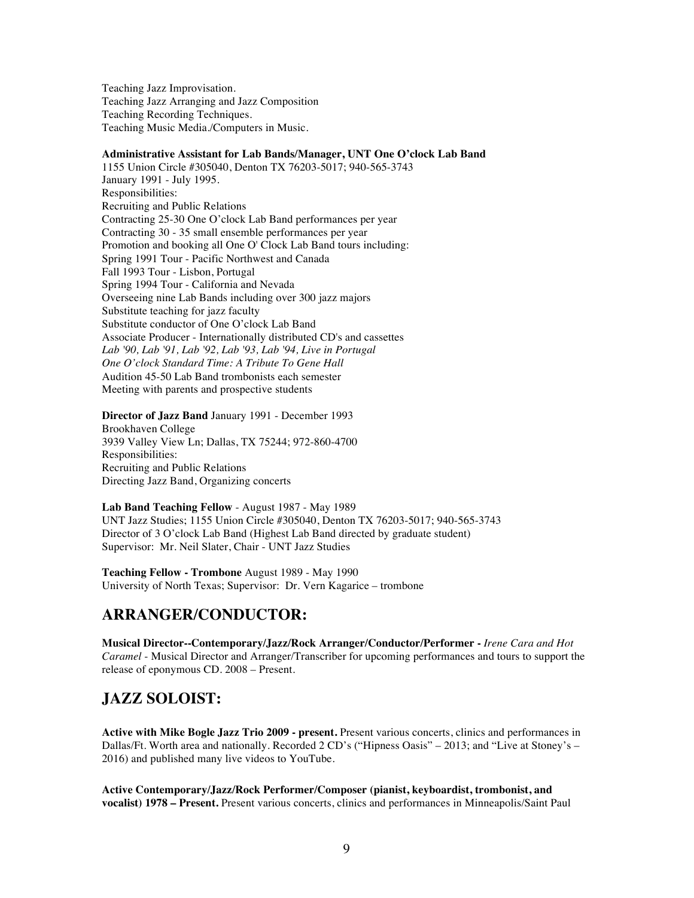Teaching Jazz Improvisation. Teaching Jazz Arranging and Jazz Composition Teaching Recording Techniques. Teaching Music Media./Computers in Music.

#### **Administrative Assistant for Lab Bands/Manager, UNT One O'clock Lab Band**

1155 Union Circle #305040, Denton TX 76203-5017; 940-565-3743 January 1991 - July 1995. Responsibilities: Recruiting and Public Relations Contracting 25-30 One O'clock Lab Band performances per year Contracting 30 - 35 small ensemble performances per year Promotion and booking all One O' Clock Lab Band tours including: Spring 1991 Tour - Pacific Northwest and Canada Fall 1993 Tour - Lisbon, Portugal Spring 1994 Tour - California and Nevada Overseeing nine Lab Bands including over 300 jazz majors Substitute teaching for jazz faculty Substitute conductor of One O'clock Lab Band Associate Producer - Internationally distributed CD's and cassettes *Lab '90, Lab '91, Lab '92, Lab '93, Lab '94, Live in Portugal One O'clock Standard Time: A Tribute To Gene Hall* Audition 45-50 Lab Band trombonists each semester Meeting with parents and prospective students

**Director of Jazz Band** January 1991 - December 1993 Brookhaven College 3939 Valley View Ln; Dallas, TX 75244; 972-860-4700 Responsibilities: Recruiting and Public Relations Directing Jazz Band, Organizing concerts

**Lab Band Teaching Fellow** - August 1987 - May 1989 UNT Jazz Studies; 1155 Union Circle #305040, Denton TX 76203-5017; 940-565-3743 Director of 3 O'clock Lab Band (Highest Lab Band directed by graduate student) Supervisor: Mr. Neil Slater, Chair - UNT Jazz Studies

**Teaching Fellow - Trombone** August 1989 - May 1990 University of North Texas; Supervisor: Dr. Vern Kagarice – trombone

## **ARRANGER/CONDUCTOR:**

**Musical Director--Contemporary/Jazz/Rock Arranger/Conductor/Performer -** *Irene Cara and Hot Caramel* - Musical Director and Arranger/Transcriber for upcoming performances and tours to support the release of eponymous CD. 2008 – Present.

# **JAZZ SOLOIST:**

**Active with Mike Bogle Jazz Trio 2009 - present.** Present various concerts, clinics and performances in Dallas/Ft. Worth area and nationally. Recorded 2 CD's ("Hipness Oasis" – 2013; and "Live at Stoney's – 2016) and published many live videos to YouTube.

**Active Contemporary/Jazz/Rock Performer/Composer (pianist, keyboardist, trombonist, and vocalist) 1978 – Present.** Present various concerts, clinics and performances in Minneapolis/Saint Paul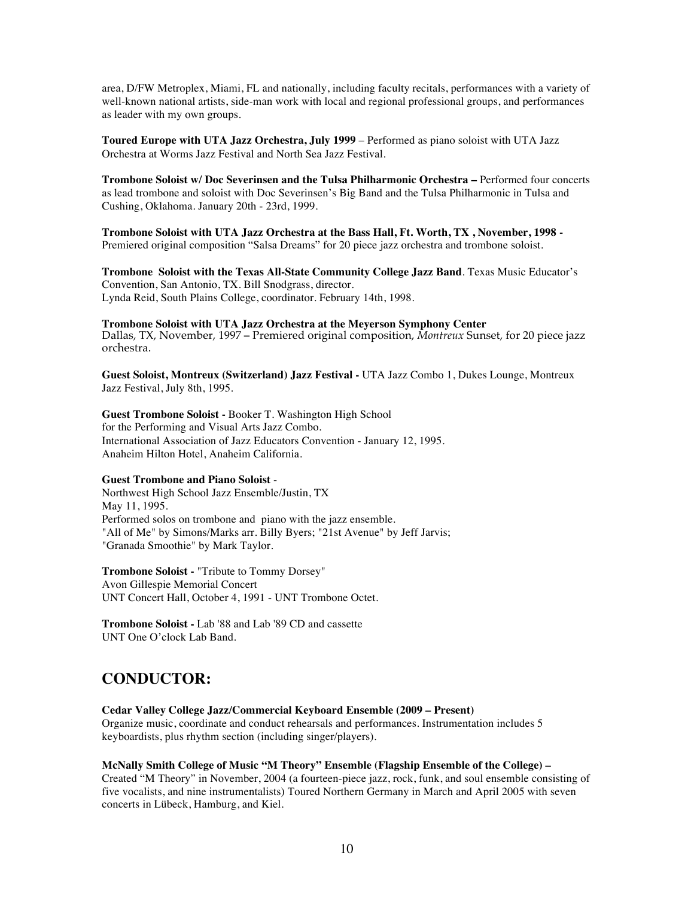area, D/FW Metroplex, Miami, FL and nationally, including faculty recitals, performances with a variety of well-known national artists, side-man work with local and regional professional groups, and performances as leader with my own groups.

**Toured Europe with UTA Jazz Orchestra, July 1999** – Performed as piano soloist with UTA Jazz Orchestra at Worms Jazz Festival and North Sea Jazz Festival.

**Trombone Soloist w/ Doc Severinsen and the Tulsa Philharmonic Orchestra –** Performed four concerts as lead trombone and soloist with Doc Severinsen's Big Band and the Tulsa Philharmonic in Tulsa and Cushing, Oklahoma. January 20th - 23rd, 1999.

**Trombone Soloist with UTA Jazz Orchestra at the Bass Hall, Ft. Worth, TX , November, 1998 -** Premiered original composition "Salsa Dreams" for 20 piece jazz orchestra and trombone soloist.

**Trombone Soloist with the Texas All-State Community College Jazz Band**. Texas Music Educator's Convention, San Antonio, TX. Bill Snodgrass, director. Lynda Reid, South Plains College, coordinator. February 14th, 1998.

**Trombone Soloist with UTA Jazz Orchestra at the Meyerson Symphony Center** Dallas, TX, November, 1997 **–** Premiered original composition, *Montreux* Sunset, for 20 piece jazz orchestra.

**Guest Soloist, Montreux (Switzerland) Jazz Festival -** UTA Jazz Combo 1, Dukes Lounge, Montreux Jazz Festival, July 8th, 1995.

**Guest Trombone Soloist -** Booker T. Washington High School for the Performing and Visual Arts Jazz Combo. International Association of Jazz Educators Convention - January 12, 1995. Anaheim Hilton Hotel, Anaheim California.

### **Guest Trombone and Piano Soloist** -

Northwest High School Jazz Ensemble/Justin, TX May 11, 1995. Performed solos on trombone and piano with the jazz ensemble. "All of Me" by Simons/Marks arr. Billy Byers; "21st Avenue" by Jeff Jarvis; "Granada Smoothie" by Mark Taylor.

**Trombone Soloist -** "Tribute to Tommy Dorsey" Avon Gillespie Memorial Concert UNT Concert Hall, October 4, 1991 - UNT Trombone Octet.

**Trombone Soloist -** Lab '88 and Lab '89 CD and cassette UNT One O'clock Lab Band.

## **CONDUCTOR:**

**Cedar Valley College Jazz/Commercial Keyboard Ensemble (2009 – Present)**  Organize music, coordinate and conduct rehearsals and performances. Instrumentation includes 5 keyboardists, plus rhythm section (including singer/players).

#### **McNally Smith College of Music "M Theory" Ensemble (Flagship Ensemble of the College) –**

Created "M Theory" in November, 2004 (a fourteen-piece jazz, rock, funk, and soul ensemble consisting of five vocalists, and nine instrumentalists) Toured Northern Germany in March and April 2005 with seven concerts in Lübeck, Hamburg, and Kiel.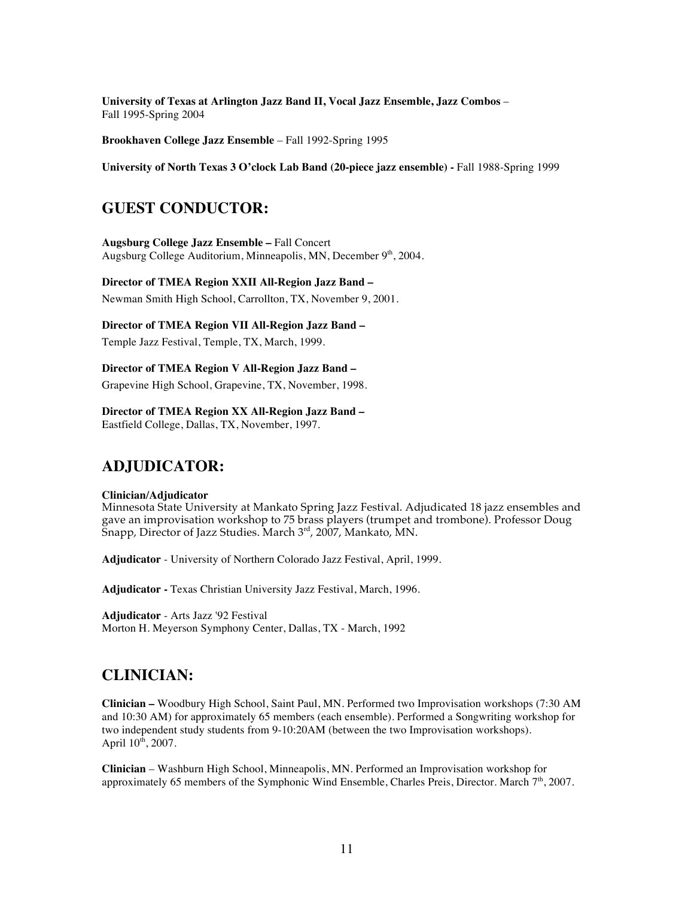**University of Texas at Arlington Jazz Band II, Vocal Jazz Ensemble, Jazz Combos** – Fall 1995-Spring 2004

**Brookhaven College Jazz Ensemble** – Fall 1992-Spring 1995

**University of North Texas 3 O'clock Lab Band (20-piece jazz ensemble) -** Fall 1988-Spring 1999

## **GUEST CONDUCTOR:**

**Augsburg College Jazz Ensemble –** Fall Concert Augsburg College Auditorium, Minneapolis, MN, December 9<sup>th</sup>, 2004.

### **Director of TMEA Region XXII All-Region Jazz Band –**

Newman Smith High School, Carrollton, TX, November 9, 2001.

#### **Director of TMEA Region VII All-Region Jazz Band –**

Temple Jazz Festival, Temple, TX, March, 1999.

#### **Director of TMEA Region V All-Region Jazz Band –**

Grapevine High School, Grapevine, TX, November, 1998.

### **Director of TMEA Region XX All-Region Jazz Band –**

Eastfield College, Dallas, TX, November, 1997.

## **ADJUDICATOR:**

#### **Clinician/Adjudicator**

Minnesota State University at Mankato Spring Jazz Festival. Adjudicated 18 jazz ensembles and gave an improvisation workshop to 75 brass players (trumpet and trombone). Professor Doug Snapp, Director of Jazz Studies. March  $3<sup>rd</sup>$ , 2007, Mankato, MN.

**Adjudicator** - University of Northern Colorado Jazz Festival, April, 1999.

**Adjudicator -** Texas Christian University Jazz Festival, March, 1996.

**Adjudicator** - Arts Jazz '92 Festival Morton H. Meyerson Symphony Center, Dallas, TX - March, 1992

## **CLINICIAN:**

**Clinician –** Woodbury High School, Saint Paul, MN. Performed two Improvisation workshops (7:30 AM and 10:30 AM) for approximately 65 members (each ensemble). Performed a Songwriting workshop for two independent study students from 9-10:20AM (between the two Improvisation workshops). April  $10^{th}$ , 2007.

**Clinician** – Washburn High School, Minneapolis, MN. Performed an Improvisation workshop for approximately 65 members of the Symphonic Wind Ensemble, Charles Preis, Director. March  $7<sup>th</sup>$ , 2007.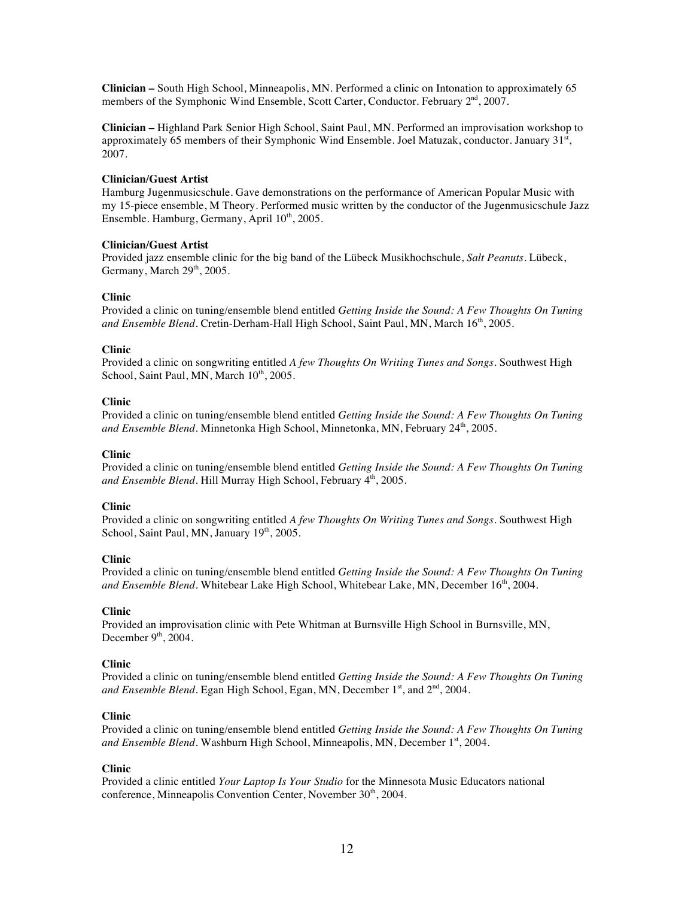**Clinician –** South High School, Minneapolis, MN. Performed a clinic on Intonation to approximately 65 members of the Symphonic Wind Ensemble, Scott Carter, Conductor. February 2<sup>nd</sup>, 2007.

**Clinician –** Highland Park Senior High School, Saint Paul, MN. Performed an improvisation workshop to approximately 65 members of their Symphonic Wind Ensemble. Joel Matuzak, conductor. January 31st, 2007.

#### **Clinician/Guest Artist**

Hamburg Jugenmusicschule. Gave demonstrations on the performance of American Popular Music with my 15-piece ensemble, M Theory. Performed music written by the conductor of the Jugenmusicschule Jazz Ensemble. Hamburg, Germany, April 10<sup>th</sup>, 2005.

#### **Clinician/Guest Artist**

Provided jazz ensemble clinic for the big band of the Lübeck Musikhochschule, *Salt Peanuts*. Lübeck, Germany, March 29<sup>th</sup>, 2005.

#### **Clinic**

Provided a clinic on tuning/ensemble blend entitled *Getting Inside the Sound: A Few Thoughts On Tuning and Ensemble Blend*. Cretin-Derham-Hall High School, Saint Paul, MN, March 16<sup>th</sup>, 2005.

#### **Clinic**

Provided a clinic on songwriting entitled *A few Thoughts On Writing Tunes and Songs*. Southwest High School, Saint Paul, MN, March  $10^{th}$ , 2005.

#### **Clinic**

Provided a clinic on tuning/ensemble blend entitled *Getting Inside the Sound: A Few Thoughts On Tuning and Ensemble Blend*. Minnetonka High School, Minnetonka, MN, February 24<sup>th</sup>, 2005.

#### **Clinic**

Provided a clinic on tuning/ensemble blend entitled *Getting Inside the Sound: A Few Thoughts On Tuning*  and Ensemble Blend. Hill Murray High School, February 4<sup>th</sup>, 2005.

#### **Clinic**

Provided a clinic on songwriting entitled *A few Thoughts On Writing Tunes and Songs*. Southwest High School, Saint Paul, MN, January  $19<sup>th</sup>$ , 2005.

#### **Clinic**

Provided a clinic on tuning/ensemble blend entitled *Getting Inside the Sound: A Few Thoughts On Tuning and Ensemble Blend*. Whitebear Lake High School, Whitebear Lake, MN, December 16<sup>th</sup>, 2004.

#### **Clinic**

Provided an improvisation clinic with Pete Whitman at Burnsville High School in Burnsville, MN, December  $9<sup>th</sup>$ , 2004.

#### **Clinic**

Provided a clinic on tuning/ensemble blend entitled *Getting Inside the Sound: A Few Thoughts On Tuning and Ensemble Blend*. Egan High School, Egan, MN, December 1<sup>st</sup>, and 2<sup>nd</sup>, 2004.

#### **Clinic**

Provided a clinic on tuning/ensemble blend entitled *Getting Inside the Sound: A Few Thoughts On Tuning and Ensemble Blend*. Washburn High School, Minneapolis, MN, December 1<sup>st</sup>, 2004.

#### **Clinic**

Provided a clinic entitled *Your Laptop Is Your Studio* for the Minnesota Music Educators national conference, Minneapolis Convention Center, November 30<sup>th</sup>, 2004.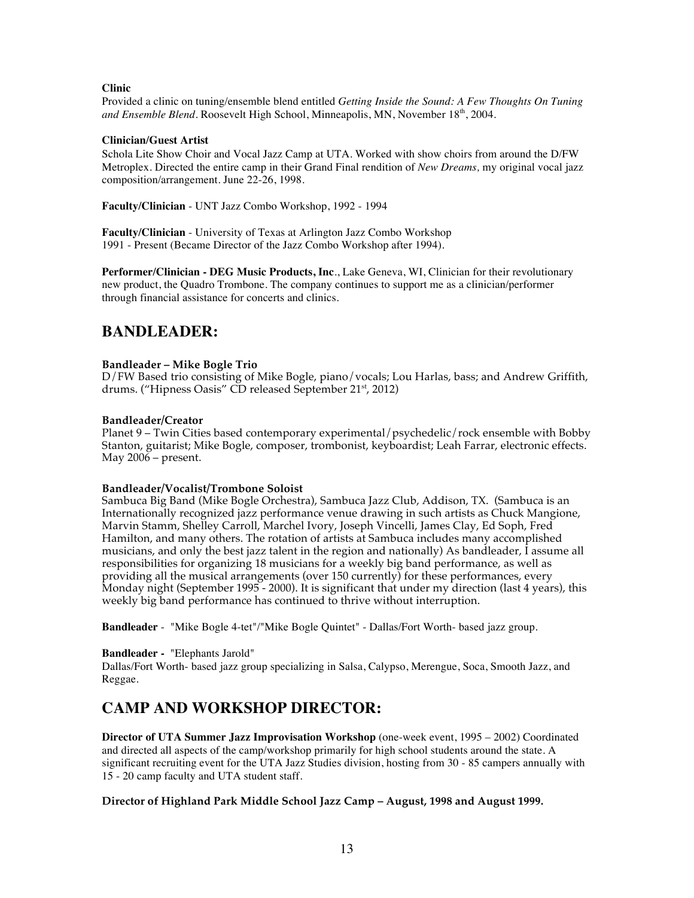### **Clinic**

Provided a clinic on tuning/ensemble blend entitled *Getting Inside the Sound: A Few Thoughts On Tuning and Ensemble Blend*. Roosevelt High School, Minneapolis, MN, November 18<sup>th</sup>, 2004.

### **Clinician/Guest Artist**

Schola Lite Show Choir and Vocal Jazz Camp at UTA. Worked with show choirs from around the D/FW Metroplex. Directed the entire camp in their Grand Final rendition of *New Dreams,* my original vocal jazz composition/arrangement. June 22-26, 1998.

**Faculty/Clinician** - UNT Jazz Combo Workshop, 1992 - 1994

**Faculty/Clinician** - University of Texas at Arlington Jazz Combo Workshop 1991 - Present (Became Director of the Jazz Combo Workshop after 1994).

**Performer/Clinician - DEG Music Products, Inc**., Lake Geneva, WI, Clinician for their revolutionary new product, the Quadro Trombone. The company continues to support me as a clinician/performer through financial assistance for concerts and clinics.

## **BANDLEADER:**

## **Bandleader – Mike Bogle Trio**

D/FW Based trio consisting of Mike Bogle, piano/vocals; Lou Harlas, bass; and Andrew Griffith, drums. ("Hipness Oasis" CD released September 21<sup>st</sup>, 2012)

### **Bandleader/Creator**

Planet 9 – Twin Cities based contemporary experimental/psychedelic/rock ensemble with Bobby Stanton, guitarist; Mike Bogle, composer, trombonist, keyboardist; Leah Farrar, electronic effects. May  $2006$  – present.

### **Bandleader/Vocalist/Trombone Soloist**

Sambuca Big Band (Mike Bogle Orchestra), Sambuca Jazz Club, Addison, TX. (Sambuca is an Internationally recognized jazz performance venue drawing in such artists as Chuck Mangione, Marvin Stamm, Shelley Carroll, Marchel Ivory, Joseph Vincelli, James Clay, Ed Soph, Fred Hamilton, and many others. The rotation of artists at Sambuca includes many accomplished musicians, and only the best jazz talent in the region and nationally) As bandleader, I assume all responsibilities for organizing 18 musicians for a weekly big band performance, as well as providing all the musical arrangements (over 150 currently) for these performances, every Monday night (September 1995 - 2000). It is significant that under my direction (last 4 years), this weekly big band performance has continued to thrive without interruption.

**Bandleader** - "Mike Bogle 4-tet"/"Mike Bogle Quintet" - Dallas/Fort Worth- based jazz group.

## **Bandleader -** "Elephants Jarold"

Dallas/Fort Worth- based jazz group specializing in Salsa, Calypso, Merengue, Soca, Smooth Jazz, and Reggae.

# **CAMP AND WORKSHOP DIRECTOR:**

**Director of UTA Summer Jazz Improvisation Workshop** (one-week event, 1995 – 2002) Coordinated and directed all aspects of the camp/workshop primarily for high school students around the state. A significant recruiting event for the UTA Jazz Studies division, hosting from 30 - 85 campers annually with 15 - 20 camp faculty and UTA student staff.

## **Director of Highland Park Middle School Jazz Camp – August, 1998 and August 1999.**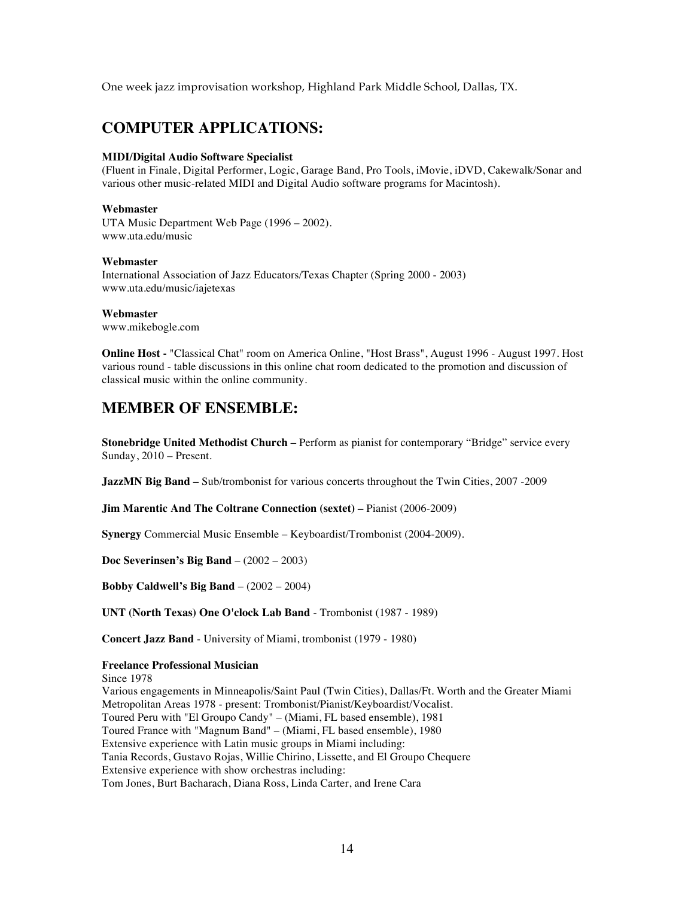One week jazz improvisation workshop, Highland Park Middle School, Dallas, TX.

## **COMPUTER APPLICATIONS:**

#### **MIDI/Digital Audio Software Specialist**

(Fluent in Finale, Digital Performer, Logic, Garage Band, Pro Tools, iMovie, iDVD, Cakewalk/Sonar and various other music-related MIDI and Digital Audio software programs for Macintosh).

#### **Webmaster**

UTA Music Department Web Page (1996 – 2002). www.uta.edu/music

### **Webmaster**

International Association of Jazz Educators/Texas Chapter (Spring 2000 - 2003) www.uta.edu/music/iajetexas

#### **Webmaster**

www.mikebogle.com

**Online Host -** "Classical Chat" room on America Online, "Host Brass", August 1996 - August 1997. Host various round - table discussions in this online chat room dedicated to the promotion and discussion of classical music within the online community.

## **MEMBER OF ENSEMBLE:**

**Stonebridge United Methodist Church –** Perform as pianist for contemporary "Bridge" service every Sunday, 2010 – Present.

**JazzMN Big Band –** Sub/trombonist for various concerts throughout the Twin Cities, 2007 -2009

**Jim Marentic And The Coltrane Connection (sextet) –** Pianist (2006-2009)

**Synergy** Commercial Music Ensemble – Keyboardist/Trombonist (2004-2009).

**Doc Severinsen's Big Band** – (2002 – 2003)

**Bobby Caldwell's Big Band** – (2002 – 2004)

**UNT (North Texas) One O'clock Lab Band** - Trombonist (1987 - 1989)

**Concert Jazz Band** - University of Miami, trombonist (1979 - 1980)

#### **Freelance Professional Musician**

Since 1978 Various engagements in Minneapolis/Saint Paul (Twin Cities), Dallas/Ft. Worth and the Greater Miami Metropolitan Areas 1978 - present: Trombonist/Pianist/Keyboardist/Vocalist. Toured Peru with "El Groupo Candy" – (Miami, FL based ensemble), 1981 Toured France with "Magnum Band" – (Miami, FL based ensemble), 1980 Extensive experience with Latin music groups in Miami including: Tania Records, Gustavo Rojas, Willie Chirino, Lissette, and El Groupo Chequere Extensive experience with show orchestras including: Tom Jones, Burt Bacharach, Diana Ross, Linda Carter, and Irene Cara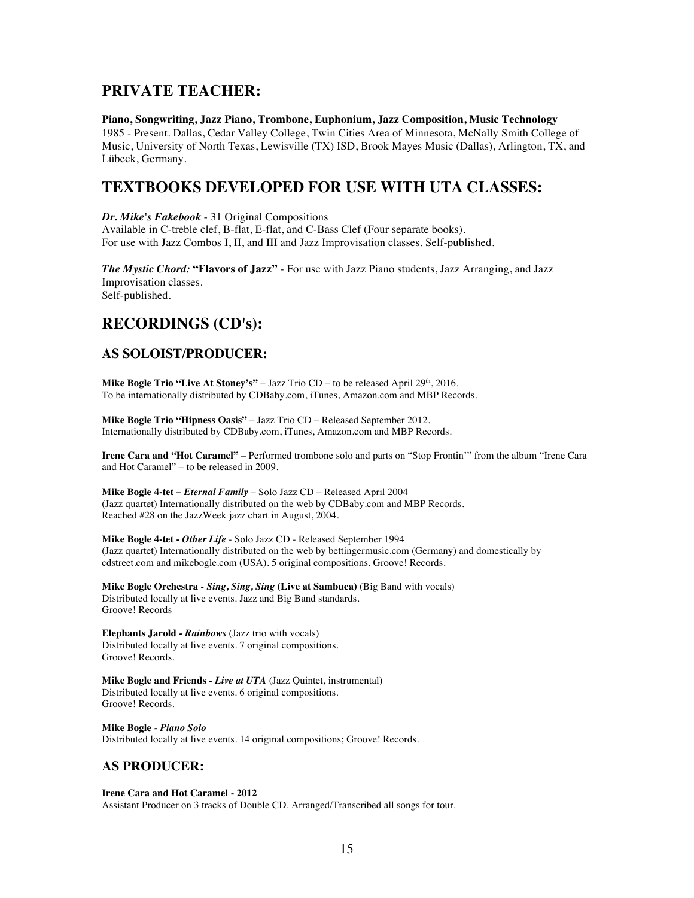## **PRIVATE TEACHER:**

**Piano, Songwriting, Jazz Piano, Trombone, Euphonium, Jazz Composition, Music Technology** 1985 - Present. Dallas, Cedar Valley College, Twin Cities Area of Minnesota, McNally Smith College of Music, University of North Texas, Lewisville (TX) ISD, Brook Mayes Music (Dallas), Arlington, TX, and Lübeck, Germany.

## **TEXTBOOKS DEVELOPED FOR USE WITH UTA CLASSES:**

*Dr. Mike's Fakebook* - 31 Original Compositions

Available in C-treble clef, B-flat, E-flat, and C-Bass Clef (Four separate books). For use with Jazz Combos I, II, and III and Jazz Improvisation classes. Self-published.

*The Mystic Chord:* **"Flavors of Jazz"** - For use with Jazz Piano students, Jazz Arranging, and Jazz Improvisation classes. Self-published.

## **RECORDINGS (CD's):**

## **AS SOLOIST/PRODUCER:**

**Mike Bogle Trio "Live At Stoney's"** – Jazz Trio CD – to be released April 29<sup>th</sup>, 2016. To be internationally distributed by CDBaby.com, iTunes, Amazon.com and MBP Records.

**Mike Bogle Trio "Hipness Oasis"** – Jazz Trio CD – Released September 2012. Internationally distributed by CDBaby.com, iTunes, Amazon.com and MBP Records.

**Irene Cara and "Hot Caramel"** – Performed trombone solo and parts on "Stop Frontin'" from the album "Irene Cara and Hot Caramel" – to be released in 2009.

**Mike Bogle 4-tet –** *Eternal Family* – Solo Jazz CD – Released April 2004 (Jazz quartet) Internationally distributed on the web by CDBaby.com and MBP Records. Reached #28 on the JazzWeek jazz chart in August, 2004.

**Mike Bogle 4-tet -** *Other Life* - Solo Jazz CD - Released September 1994 (Jazz quartet) Internationally distributed on the web by bettingermusic.com (Germany) and domestically by cdstreet.com and mikebogle.com (USA). 5 original compositions. Groove! Records.

**Mike Bogle Orchestra** *- Sing, Sing, Sing* **(Live at Sambuca)** (Big Band with vocals) Distributed locally at live events. Jazz and Big Band standards. Groove! Records

**Elephants Jarold** *- Rainbows* (Jazz trio with vocals) Distributed locally at live events. 7 original compositions. Groove! Records.

**Mike Bogle and Friends** *- Live at UTA* (Jazz Quintet, instrumental) Distributed locally at live events. 6 original compositions. Groove! Records.

**Mike Bogle** *- Piano Solo*  Distributed locally at live events. 14 original compositions; Groove! Records.

## **AS PRODUCER:**

#### **Irene Cara and Hot Caramel - 2012**

Assistant Producer on 3 tracks of Double CD. Arranged/Transcribed all songs for tour.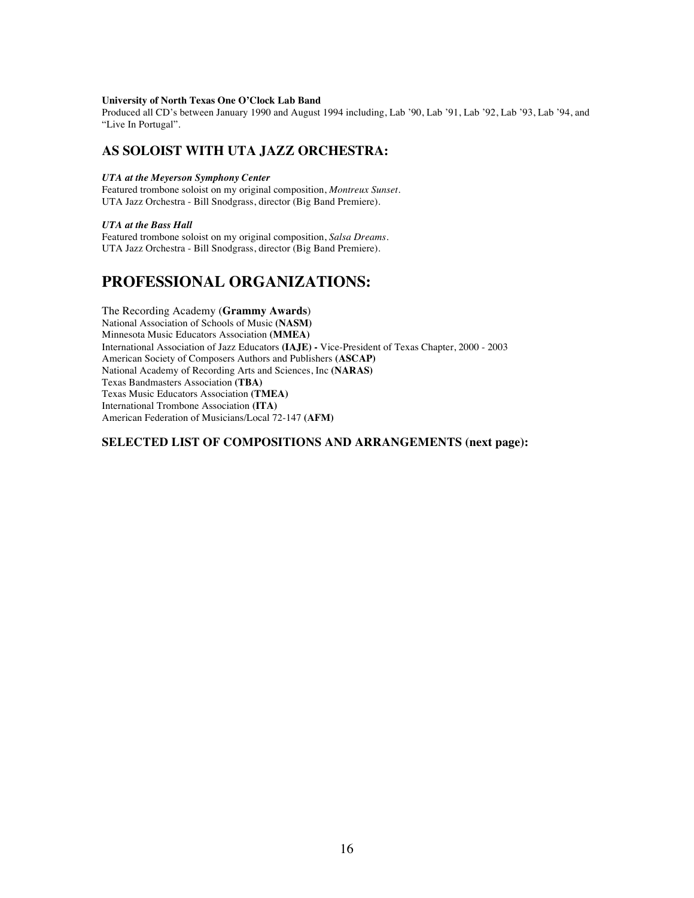#### **University of North Texas One O'Clock Lab Band**

Produced all CD's between January 1990 and August 1994 including, Lab '90, Lab '91, Lab '92, Lab '93, Lab '94, and "Live In Portugal".

## **AS SOLOIST WITH UTA JAZZ ORCHESTRA:**

#### *UTA at the Meyerson Symphony Center*

Featured trombone soloist on my original composition, *Montreux Sunset*. UTA Jazz Orchestra - Bill Snodgrass, director (Big Band Premiere).

#### *UTA at the Bass Hall*

Featured trombone soloist on my original composition, *Salsa Dreams.* UTA Jazz Orchestra - Bill Snodgrass, director (Big Band Premiere).

## **PROFESSIONAL ORGANIZATIONS:**

The Recording Academy (**Grammy Awards**) National Association of Schools of Music **(NASM)** Minnesota Music Educators Association **(MMEA)** International Association of Jazz Educators **(IAJE) -** Vice-President of Texas Chapter, 2000 - 2003 American Society of Composers Authors and Publishers **(ASCAP)** National Academy of Recording Arts and Sciences, Inc **(NARAS)** Texas Bandmasters Association **(TBA)** Texas Music Educators Association **(TMEA)** International Trombone Association **(ITA)** American Federation of Musicians/Local 72-147 **(AFM)**

## **SELECTED LIST OF COMPOSITIONS AND ARRANGEMENTS (next page):**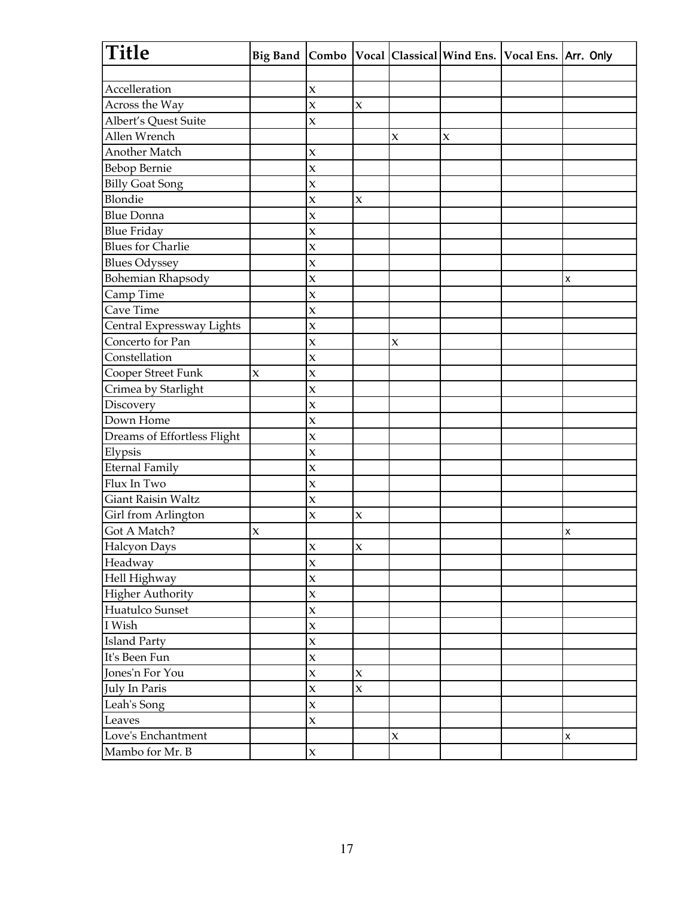| Title                       | <b>Big Band</b> | Combo                   |                    |                           |                           | Vocal   Classical   Wind Ens.   Vocal Ens.   Arr. Only |   |
|-----------------------------|-----------------|-------------------------|--------------------|---------------------------|---------------------------|--------------------------------------------------------|---|
|                             |                 |                         |                    |                           |                           |                                                        |   |
| Accelleration               |                 | $\mathbf{\hat{X}}$      |                    |                           |                           |                                                        |   |
| Across the Way              |                 | $\mathbf{\hat{X}}$      | $\mathbf x$        |                           |                           |                                                        |   |
| Albert's Quest Suite        |                 | $\mathbf{\hat{X}}$      |                    |                           |                           |                                                        |   |
| Allen Wrench                |                 |                         |                    | $\pmb{\chi}$              | $\boldsymbol{\mathsf{x}}$ |                                                        |   |
| Another Match               |                 | $\mathbf{\hat{X}}$      |                    |                           |                           |                                                        |   |
| <b>Bebop Bernie</b>         |                 | $\mathbf{\hat{x}}$      |                    |                           |                           |                                                        |   |
| <b>Billy Goat Song</b>      |                 | $\mathbf{\hat{X}}$      |                    |                           |                           |                                                        |   |
| Blondie                     |                 | $\mathbf x$             | $\pmb{\chi}$       |                           |                           |                                                        |   |
| <b>Blue Donna</b>           |                 | $\mathbf{\hat{X}}$      |                    |                           |                           |                                                        |   |
| <b>Blue Friday</b>          |                 | $\mathbf{\hat{X}}$      |                    |                           |                           |                                                        |   |
| <b>Blues for Charlie</b>    |                 | $\mathbf{\hat{X}}$      |                    |                           |                           |                                                        |   |
| <b>Blues Odyssey</b>        |                 | $\mathbf{\hat{X}}$      |                    |                           |                           |                                                        |   |
| Bohemian Rhapsody           |                 | $\mathbf{\hat{X}}$      |                    |                           |                           |                                                        | X |
| Camp Time                   |                 | $\mathbf{\hat{X}}$      |                    |                           |                           |                                                        |   |
| Cave Time                   |                 | $\overline{\mathbf{x}}$ |                    |                           |                           |                                                        |   |
| Central Expressway Lights   |                 | $\mathbf{\hat{x}}$      |                    |                           |                           |                                                        |   |
| Concerto for Pan            |                 | $\mathbf{\hat{X}}$      |                    | $\mathbf x$               |                           |                                                        |   |
| Constellation               |                 | $\overline{\mathbf{x}}$ |                    |                           |                           |                                                        |   |
| Cooper Street Funk          | $\mathbf x$     | $\mathbf{\hat{x}}$      |                    |                           |                           |                                                        |   |
| Crimea by Starlight         |                 | $\mathbf{\hat{X}}$      |                    |                           |                           |                                                        |   |
| Discovery                   |                 | $\mathbf{\hat{X}}$      |                    |                           |                           |                                                        |   |
| Down Home                   |                 | $\mathbf{\hat{X}}$      |                    |                           |                           |                                                        |   |
| Dreams of Effortless Flight |                 | $\mathbf{\hat{X}}$      |                    |                           |                           |                                                        |   |
| Elypsis                     |                 | $\mathbf{\hat{X}}$      |                    |                           |                           |                                                        |   |
| <b>Eternal Family</b>       |                 | $\mathbf{\hat{X}}$      |                    |                           |                           |                                                        |   |
| Flux In Two                 |                 | $\overline{\mathbf{x}}$ |                    |                           |                           |                                                        |   |
| <b>Giant Raisin Waltz</b>   |                 | $\mathbf{\hat{X}}$      |                    |                           |                           |                                                        |   |
| Girl from Arlington         |                 | $\overline{\mathbf{x}}$ | $\mathbf x$        |                           |                           |                                                        |   |
| Got A Match?                | $\mathbf x$     |                         |                    |                           |                           |                                                        | X |
| Halcyon Days                |                 | $\mathbf x$             | $\mathbf{\hat{x}}$ |                           |                           |                                                        |   |
| Headway                     |                 | $\mathbf{x}$            |                    |                           |                           |                                                        |   |
| Hell Highway                |                 | $\mathbf{x}$            |                    |                           |                           |                                                        |   |
| Higher Authority            |                 | $\mathbf{x}$            |                    |                           |                           |                                                        |   |
| Huatulco Sunset             |                 | $\mathbf{\overline{X}}$ |                    |                           |                           |                                                        |   |
| I Wish                      |                 | $\mathbf{\hat{x}}$      |                    |                           |                           |                                                        |   |
| <b>Island Party</b>         |                 | $\mathbf{x}$            |                    |                           |                           |                                                        |   |
| It's Been Fun               |                 | $\mathbf{\overline{X}}$ |                    |                           |                           |                                                        |   |
| Jones'n For You             |                 | $\mathbf x$             | $\mathsf X$        |                           |                           |                                                        |   |
| July In Paris               |                 | $\mathbf{x}$            | $\mathbf x$        |                           |                           |                                                        |   |
| Leah's Song                 |                 | $\mathbf{x}$            |                    |                           |                           |                                                        |   |
| Leaves                      |                 | $\mathbf x$             |                    |                           |                           |                                                        |   |
| Love's Enchantment          |                 |                         |                    | $\boldsymbol{\mathrm{X}}$ |                           |                                                        | X |
| Mambo for Mr. B             |                 | $\mathbf{x}$            |                    |                           |                           |                                                        |   |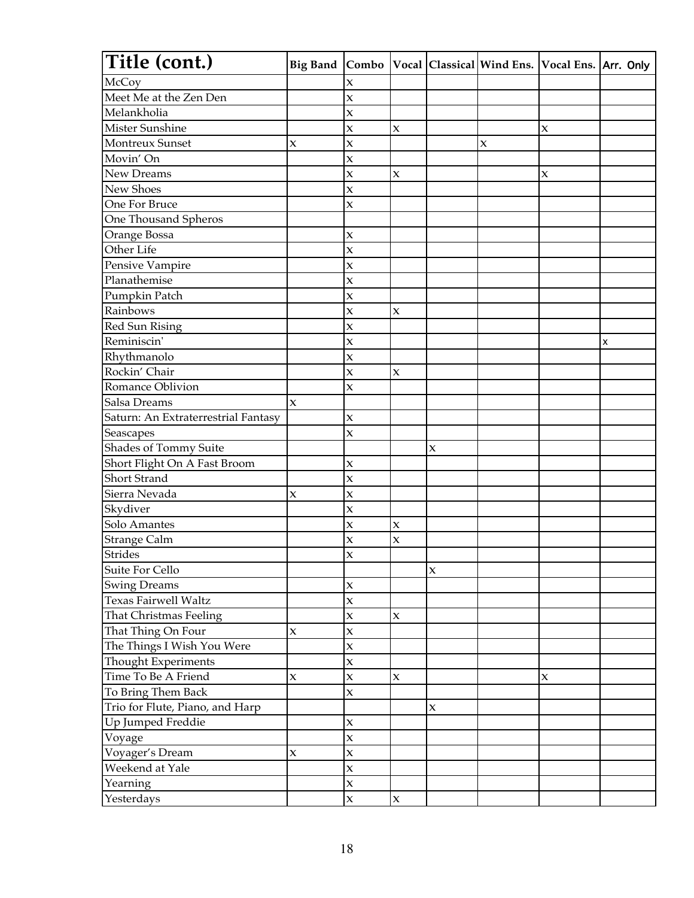| Title (cont.)                       | <b>Big Band</b>           |                           |                           |              | Combo Vocal Classical Wind Ens. Vocal Ens. Arr. Only |             |   |
|-------------------------------------|---------------------------|---------------------------|---------------------------|--------------|------------------------------------------------------|-------------|---|
| McCoy                               |                           | X                         |                           |              |                                                      |             |   |
| Meet Me at the Zen Den              |                           | $\mathbf x$               |                           |              |                                                      |             |   |
| Melankholia                         |                           | $\mathsf X$               |                           |              |                                                      |             |   |
| Mister Sunshine                     |                           | $\boldsymbol{\mathsf{x}}$ | $\mathbf x$               |              |                                                      | X           |   |
| Montreux Sunset                     | $\mathbf x$               | $\mathsf X$               |                           |              | $\boldsymbol{\mathsf{x}}$                            |             |   |
| Movin' On                           |                           | $\boldsymbol{\mathsf{x}}$ |                           |              |                                                      |             |   |
| <b>New Dreams</b>                   |                           | $\boldsymbol{\mathsf{X}}$ | $\mathsf X$               |              |                                                      | X           |   |
| New Shoes                           |                           | $\mathsf X$               |                           |              |                                                      |             |   |
| One For Bruce                       |                           | $\mathsf X$               |                           |              |                                                      |             |   |
| One Thousand Spheros                |                           |                           |                           |              |                                                      |             |   |
| Orange Bossa                        |                           | $\mathsf X$               |                           |              |                                                      |             |   |
| Other Life                          |                           | $\mathsf X$               |                           |              |                                                      |             |   |
| Pensive Vampire                     |                           | $\boldsymbol{\mathsf{x}}$ |                           |              |                                                      |             |   |
| Planathemise                        |                           | $\boldsymbol{\mathsf{X}}$ |                           |              |                                                      |             |   |
| Pumpkin Patch                       |                           | $\boldsymbol{\mathsf{X}}$ |                           |              |                                                      |             |   |
| Rainbows                            |                           | $\mathsf X$               | $\mathbf x$               |              |                                                      |             |   |
| <b>Red Sun Rising</b>               |                           | $\mathsf X$               |                           |              |                                                      |             |   |
| Reminiscin'                         |                           | $\boldsymbol{\mathsf{X}}$ |                           |              |                                                      |             | X |
| Rhythmanolo                         |                           | $\mathbf{\hat{x}}$        |                           |              |                                                      |             |   |
| Rockin' Chair                       |                           | $\mathsf X$               | $\mathbf x$               |              |                                                      |             |   |
| Romance Oblivion                    |                           | $\boldsymbol{\mathsf{X}}$ |                           |              |                                                      |             |   |
| Salsa Dreams                        | $\pmb{\chi}$              |                           |                           |              |                                                      |             |   |
| Saturn: An Extraterrestrial Fantasy |                           | $\boldsymbol{\mathsf{x}}$ |                           |              |                                                      |             |   |
| Seascapes                           |                           | $\mathbf{\hat{x}}$        |                           |              |                                                      |             |   |
| Shades of Tommy Suite               |                           |                           |                           | $\pmb{\chi}$ |                                                      |             |   |
| Short Flight On A Fast Broom        |                           | $\mathsf X$               |                           |              |                                                      |             |   |
| Short Strand                        |                           | $\boldsymbol{\mathsf{x}}$ |                           |              |                                                      |             |   |
| Sierra Nevada                       | $\mathbf x$               | $\mathsf X$               |                           |              |                                                      |             |   |
| Skydiver                            |                           | $\boldsymbol{\mathsf{x}}$ |                           |              |                                                      |             |   |
| Solo Amantes                        |                           | $\mathsf X$               | $\boldsymbol{\mathsf{X}}$ |              |                                                      |             |   |
| Strange Calm                        |                           | $\boldsymbol{\mathsf{x}}$ | $\pmb{\chi}$              |              |                                                      |             |   |
| Strides                             |                           | $\mathbf x$               |                           |              |                                                      |             |   |
| Suite For Cello                     |                           |                           |                           | $\mathbf x$  |                                                      |             |   |
| <b>Swing Dreams</b>                 |                           | $\mathbf x$               |                           |              |                                                      |             |   |
| Texas Fairwell Waltz                |                           | $\mathbf{x}$              |                           |              |                                                      |             |   |
| That Christmas Feeling              |                           | $\boldsymbol{\chi}$       | $\mathbf x$               |              |                                                      |             |   |
| That Thing On Four                  | $\boldsymbol{\mathsf{X}}$ | $\mathbf x$               |                           |              |                                                      |             |   |
| The Things I Wish You Were          |                           | $\mathsf X$               |                           |              |                                                      |             |   |
| Thought Experiments                 |                           | $\mathbf x$               |                           |              |                                                      |             |   |
| Time To Be A Friend                 | $\mathbf x$               | $\mathbf{x}$              | $\mathbf x$               |              |                                                      | $\mathbf x$ |   |
| To Bring Them Back                  |                           | $\mathbf x$               |                           |              |                                                      |             |   |
| Trio for Flute, Piano, and Harp     |                           |                           |                           | $\mathbf x$  |                                                      |             |   |
| Up Jumped Freddie                   |                           | $\boldsymbol{\mathsf{x}}$ |                           |              |                                                      |             |   |
| Voyage                              |                           | $\boldsymbol{\chi}$       |                           |              |                                                      |             |   |
| Voyager's Dream                     | $\boldsymbol{\mathsf{X}}$ | $\mathbf x$               |                           |              |                                                      |             |   |
| Weekend at Yale                     |                           | $\mathbf x$               |                           |              |                                                      |             |   |
| Yearning                            |                           | $\mathbf x$               |                           |              |                                                      |             |   |
| Yesterdays                          |                           | $\mathbf x$               | $\mathbf x$               |              |                                                      |             |   |